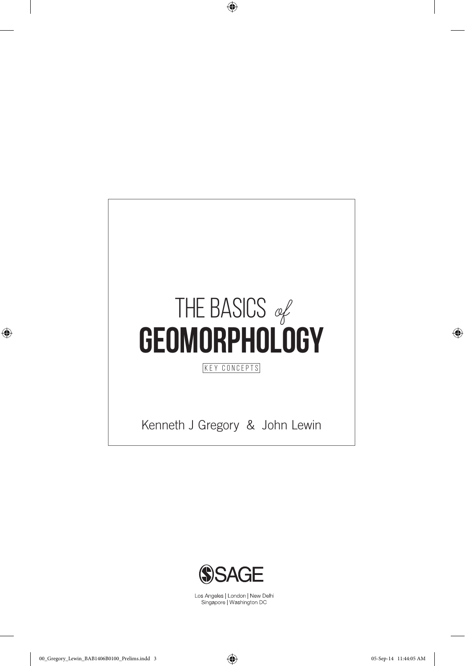

⊕



Los Angeles | London | New Delhi<br>Singapore | Washington DC

 $\bigoplus$ 

⊕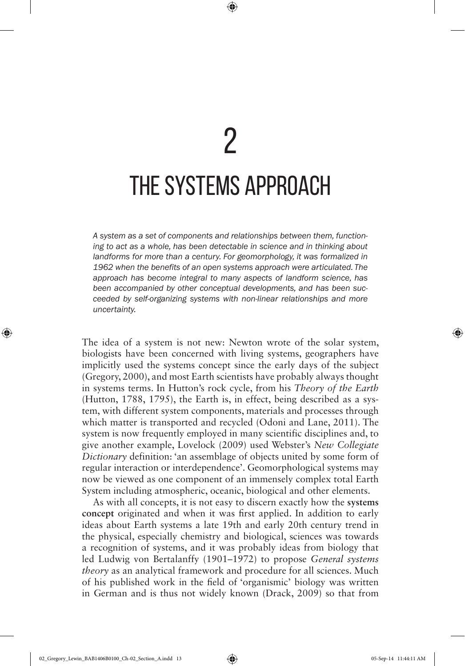⊕

*A system as a set of components and relationships between them, functioning to act as a whole, has been detectable in science and in thinking about* landforms for more than a century. For geomorphology, it was formalized in *1962 when the benefits of an open systems approach were articulated. The approach has become integral to many aspects of landform science, has been accompanied by other conceptual developments, and has been succeeded by self-organizing systems with non-linear relationships and more uncertainty.* 

The idea of a system is not new: Newton wrote of the solar system, biologists have been concerned with living systems, geographers have implicitly used the systems concept since the early days of the subject (Gregory, 2000), and most Earth scientists have probably always thought in systems terms. In Hutton's rock cycle, from his *Theory of the Earth*  (Hutton, 1788, 1795), the Earth is, in effect, being described as a system, with different system components, materials and processes through which matter is transported and recycled (Odoni and Lane, 2011). The system is now frequently employed in many scientific disciplines and, to give another example, Lovelock (2009) used Webster's *New Collegiate Dictionary* definition: 'an assemblage of objects united by some form of regular interaction or interdependence'. Geomorphological systems may now be viewed as one component of an immensely complex total Earth System including atmospheric, oceanic, biological and other elements.

As with all concepts, it is not easy to discern exactly how the **systems concept** originated and when it was first applied. In addition to early ideas about Earth systems a late 19th and early 20th century trend in the physical, especially chemistry and biological, sciences was towards a recognition of systems, and it was probably ideas from biology that led Ludwig von Bertalanffy (1901–1972) to propose *General systems theory* as an analytical framework and procedure for all sciences. Much of his published work in the field of 'organismic' biology was written in German and is thus not widely known (Drack, 2009) so that from

02\_Gregory\_Lewin\_BAB1406B0100\_Ch-02\_Section\_A.indd 13 05-Sep-14 11:44:11 AM

◈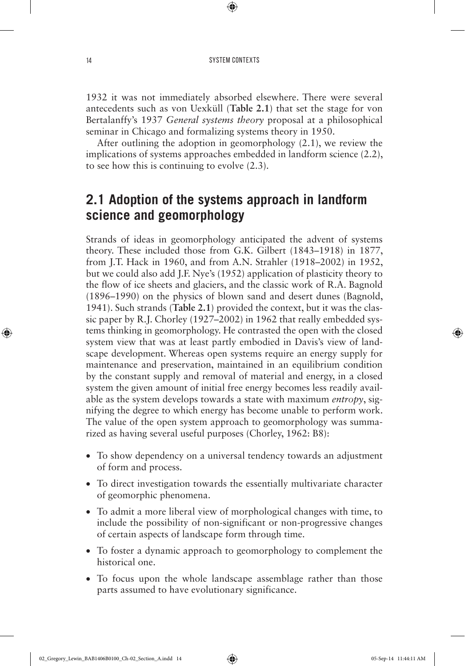⊕

1932 it was not immediately absorbed elsewhere. There were several antecedents such as von Uexküll (**Table 2.1**) that set the stage for von Bertalanffy's 1937 *General systems theory* proposal at a philosophical seminar in Chicago and formalizing systems theory in 1950.

After outlining the adoption in geomorphology (2.1), we review the implications of systems approaches embedded in landform science (2.2), to see how this is continuing to evolve (2.3).

## **2.1 Adoption of the systems approach in landform science and geomorphology**

Strands of ideas in geomorphology anticipated the advent of systems theory. These included those from G.K. Gilbert (1843–1918) in 1877, from J.T. Hack in 1960, and from A.N. Strahler (1918–2002) in 1952, but we could also add J.F. Nye's (1952) application of plasticity theory to the flow of ice sheets and glaciers, and the classic work of R.A. Bagnold (1896–1990) on the physics of blown sand and desert dunes (Bagnold, 1941). Such strands (**Table 2.1**) provided the context, but it was the classic paper by R.J. Chorley (1927–2002) in 1962 that really embedded systems thinking in geomorphology. He contrasted the open with the closed system view that was at least partly embodied in Davis's view of landscape development. Whereas open systems require an energy supply for maintenance and preservation, maintained in an equilibrium condition by the constant supply and removal of material and energy, in a closed system the given amount of initial free energy becomes less readily available as the system develops towards a state with maximum *entropy*, signifying the degree to which energy has become unable to perform work. The value of the open system approach to geomorphology was summarized as having several useful purposes (Chorley, 1962: B8):

- To show dependency on a universal tendency towards an adjustment of form and process.
- To direct investigation towards the essentially multivariate character of geomorphic phenomena.
- To admit a more liberal view of morphological changes with time, to include the possibility of non-significant or non-progressive changes of certain aspects of landscape form through time.
- To foster a dynamic approach to geomorphology to complement the historical one.
- To focus upon the whole landscape assemblage rather than those parts assumed to have evolutionary significance.

◈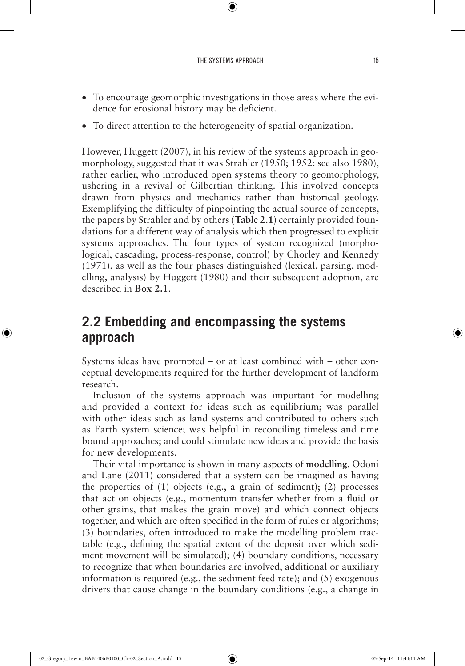⊕

- To encourage geomorphic investigations in those areas where the evidence for erosional history may be deficient.
- To direct attention to the heterogeneity of spatial organization.

However, Huggett (2007), in his review of the systems approach in geomorphology, suggested that it was Strahler (1950; 1952: see also 1980), rather earlier, who introduced open systems theory to geomorphology, ushering in a revival of Gilbertian thinking. This involved concepts drawn from physics and mechanics rather than historical geology. Exemplifying the difficulty of pinpointing the actual source of concepts, the papers by Strahler and by others (**Table 2.1**) certainly provided foundations for a different way of analysis which then progressed to explicit systems approaches. The four types of system recognized (morphological, cascading, process-response, control) by Chorley and Kennedy (1971), as well as the four phases distinguished (lexical, parsing, modelling, analysis) by Huggett (1980) and their subsequent adoption, are described in **Box 2.1**.

## **2.2 Embedding and encompassing the systems approach**

Systems ideas have prompted – or at least combined with – other conceptual developments required for the further development of landform research.

Inclusion of the systems approach was important for modelling and provided a context for ideas such as equilibrium; was parallel with other ideas such as land systems and contributed to others such as Earth system science; was helpful in reconciling timeless and time bound approaches; and could stimulate new ideas and provide the basis for new developments.

Their vital importance is shown in many aspects of **modelling**. Odoni and Lane (2011) considered that a system can be imagined as having the properties of (1) objects (e.g., a grain of sediment); (2) processes that act on objects (e.g., momentum transfer whether from a fluid or other grains, that makes the grain move) and which connect objects together, and which are often specified in the form of rules or algorithms; (3) boundaries, often introduced to make the modelling problem tractable (e.g., defining the spatial extent of the deposit over which sediment movement will be simulated); (4) boundary conditions, necessary to recognize that when boundaries are involved, additional or auxiliary information is required (e.g., the sediment feed rate); and (5) exogenous drivers that cause change in the boundary conditions (e.g., a change in

◈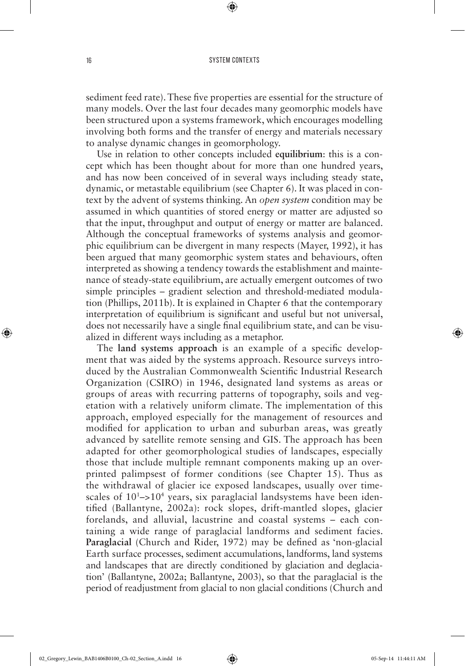⊕

sediment feed rate). These five properties are essential for the structure of many models. Over the last four decades many geomorphic models have been structured upon a systems framework, which encourages modelling involving both forms and the transfer of energy and materials necessary to analyse dynamic changes in geomorphology.

Use in relation to other concepts included **equilibrium**: this is a concept which has been thought about for more than one hundred years, and has now been conceived of in several ways including steady state, dynamic, or metastable equilibrium (see Chapter 6). It was placed in context by the advent of systems thinking. An *open system* condition may be assumed in which quantities of stored energy or matter are adjusted so that the input, throughput and output of energy or matter are balanced. Although the conceptual frameworks of systems analysis and geomorphic equilibrium can be divergent in many respects (Mayer, 1992), it has been argued that many geomorphic system states and behaviours, often interpreted as showing a tendency towards the establishment and maintenance of steady-state equilibrium, are actually emergent outcomes of two simple principles – gradient selection and threshold-mediated modulation (Phillips, 2011b). It is explained in Chapter 6 that the contemporary interpretation of equilibrium is significant and useful but not universal, does not necessarily have a single final equilibrium state, and can be visualized in different ways including as a metaphor.

The **land systems approach** is an example of a specific development that was aided by the systems approach. Resource surveys introduced by the Australian Commonwealth Scientific Industrial Research Organization (CSIRO) in 1946, designated land systems as areas or groups of areas with recurring patterns of topography, soils and vegetation with a relatively uniform climate. The implementation of this approach, employed especially for the management of resources and modified for application to urban and suburban areas, was greatly advanced by satellite remote sensing and GIS. The approach has been adapted for other geomorphological studies of landscapes, especially those that include multiple remnant components making up an overprinted palimpsest of former conditions (see Chapter 15). Thus as the withdrawal of glacier ice exposed landscapes, usually over timescales of 10<sup>1</sup>–>10<sup>4</sup> years, six paraglacial landsystems have been identified (Ballantyne, 2002a): rock slopes, drift-mantled slopes, glacier forelands, and alluvial, lacustrine and coastal systems – each containing a wide range of paraglacial landforms and sediment facies. **Paraglacial** (Church and Rider, 1972) may be defined as 'non-glacial Earth surface processes, sediment accumulations, landforms, land systems and landscapes that are directly conditioned by glaciation and deglaciation' (Ballantyne, 2002a; Ballantyne, 2003), so that the paraglacial is the period of readjustment from glacial to non glacial conditions (Church and

◈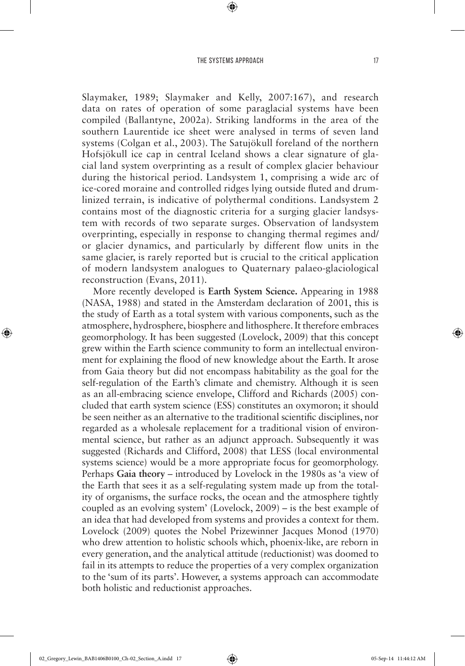⊕

Slaymaker, 1989; Slaymaker and Kelly, 2007:167), and research data on rates of operation of some paraglacial systems have been compiled (Ballantyne, 2002a). Striking landforms in the area of the southern Laurentide ice sheet were analysed in terms of seven land systems (Colgan et al., 2003). The Satujökull foreland of the northern Hofsjökull ice cap in central Iceland shows a clear signature of glacial land system overprinting as a result of complex glacier behaviour during the historical period. Landsystem 1, comprising a wide arc of ice-cored moraine and controlled ridges lying outside fluted and drumlinized terrain, is indicative of polythermal conditions. Landsystem 2 contains most of the diagnostic criteria for a surging glacier landsystem with records of two separate surges. Observation of landsystem overprinting, especially in response to changing thermal regimes and/ or glacier dynamics, and particularly by different flow units in the same glacier, is rarely reported but is crucial to the critical application of modern landsystem analogues to Quaternary palaeo-glaciological reconstruction (Evans, 2011).

More recently developed is **Earth System Science.** Appearing in 1988 (NASA, 1988) and stated in the Amsterdam declaration of 2001, this is the study of Earth as a total system with various components, such as the atmosphere, hydrosphere, biosphere and lithosphere. It therefore embraces geomorphology. It has been suggested (Lovelock, 2009) that this concept grew within the Earth science community to form an intellectual environment for explaining the flood of new knowledge about the Earth. It arose from Gaia theory but did not encompass habitability as the goal for the self-regulation of the Earth's climate and chemistry. Although it is seen as an all-embracing science envelope, Clifford and Richards (2005) concluded that earth system science (ESS) constitutes an oxymoron; it should be seen neither as an alternative to the traditional scientific disciplines, nor regarded as a wholesale replacement for a traditional vision of environmental science, but rather as an adjunct approach. Subsequently it was suggested (Richards and Clifford, 2008) that LESS (local environmental systems science) would be a more appropriate focus for geomorphology. Perhaps **Gaia theory** – introduced by Lovelock in the 1980s as 'a view of the Earth that sees it as a self-regulating system made up from the totality of organisms, the surface rocks, the ocean and the atmosphere tightly coupled as an evolving system' (Lovelock, 2009) – is the best example of an idea that had developed from systems and provides a context for them. Lovelock (2009) quotes the Nobel Prizewinner Jacques Monod (1970) who drew attention to holistic schools which, phoenix-like, are reborn in every generation, and the analytical attitude (reductionist) was doomed to fail in its attempts to reduce the properties of a very complex organization to the 'sum of its parts'. However, a systems approach can accommodate both holistic and reductionist approaches.

◈

⊕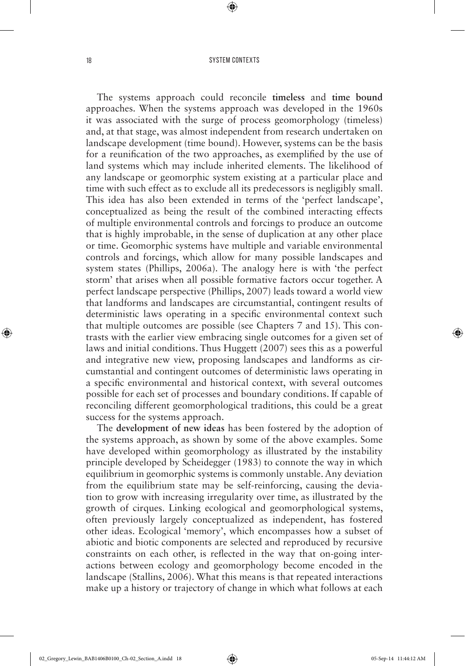⊕

The systems approach could reconcile **timeless** and **time bound**  approaches. When the systems approach was developed in the 1960s it was associated with the surge of process geomorphology (timeless) and, at that stage, was almost independent from research undertaken on landscape development (time bound). However, systems can be the basis for a reunification of the two approaches, as exemplified by the use of land systems which may include inherited elements. The likelihood of any landscape or geomorphic system existing at a particular place and time with such effect as to exclude all its predecessors is negligibly small. This idea has also been extended in terms of the 'perfect landscape', conceptualized as being the result of the combined interacting effects of multiple environmental controls and forcings to produce an outcome that is highly improbable, in the sense of duplication at any other place or time. Geomorphic systems have multiple and variable environmental controls and forcings, which allow for many possible landscapes and system states (Phillips, 2006a). The analogy here is with 'the perfect storm' that arises when all possible formative factors occur together. A perfect landscape perspective (Phillips, 2007) leads toward a world view that landforms and landscapes are circumstantial, contingent results of deterministic laws operating in a specific environmental context such that multiple outcomes are possible (see Chapters 7 and 15). This contrasts with the earlier view embracing single outcomes for a given set of laws and initial conditions. Thus Huggett (2007) sees this as a powerful and integrative new view, proposing landscapes and landforms as circumstantial and contingent outcomes of deterministic laws operating in a specific environmental and historical context, with several outcomes possible for each set of processes and boundary conditions. If capable of reconciling different geomorphological traditions, this could be a great success for the systems approach.

The **development of new ideas** has been fostered by the adoption of the systems approach, as shown by some of the above examples. Some have developed within geomorphology as illustrated by the instability principle developed by Scheidegger (1983) to connote the way in which equilibrium in geomorphic systems is commonly unstable. Any deviation from the equilibrium state may be self-reinforcing, causing the deviation to grow with increasing irregularity over time, as illustrated by the growth of cirques. Linking ecological and geomorphological systems, often previously largely conceptualized as independent, has fostered other ideas. Ecological 'memory', which encompasses how a subset of abiotic and biotic components are selected and reproduced by recursive constraints on each other, is reflected in the way that on-going interactions between ecology and geomorphology become encoded in the landscape (Stallins, 2006). What this means is that repeated interactions make up a history or trajectory of change in which what follows at each

◈

⊕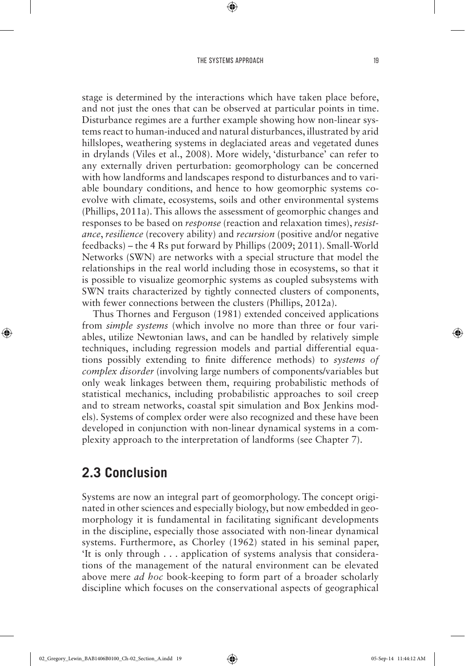⊕

stage is determined by the interactions which have taken place before, and not just the ones that can be observed at particular points in time. Disturbance regimes are a further example showing how non-linear systems react to human-induced and natural disturbances, illustrated by arid hillslopes, weathering systems in deglaciated areas and vegetated dunes in drylands (Viles et al., 2008). More widely, 'disturbance' can refer to any externally driven perturbation: geomorphology can be concerned with how landforms and landscapes respond to disturbances and to variable boundary conditions, and hence to how geomorphic systems coevolve with climate, ecosystems, soils and other environmental systems (Phillips, 2011a). This allows the assessment of geomorphic changes and responses to be based on *response* (reaction and relaxation times), *resistance*, *resilience* (recovery ability) and *recursion* (positive and/or negative feedbacks) – the 4 Rs put forward by Phillips (2009; 2011). Small-World Networks (SWN) are networks with a special structure that model the relationships in the real world including those in ecosystems, so that it is possible to visualize geomorphic systems as coupled subsystems with SWN traits characterized by tightly connected clusters of components, with fewer connections between the clusters (Phillips, 2012a).

Thus Thornes and Ferguson (1981) extended conceived applications from *simple systems* (which involve no more than three or four variables, utilize Newtonian laws, and can be handled by relatively simple techniques, including regression models and partial differential equations possibly extending to finite difference methods) to *systems of complex disorder* (involving large numbers of components/variables but only weak linkages between them, requiring probabilistic methods of statistical mechanics, including probabilistic approaches to soil creep and to stream networks, coastal spit simulation and Box Jenkins models). Systems of complex order were also recognized and these have been developed in conjunction with non-linear dynamical systems in a complexity approach to the interpretation of landforms (see Chapter 7).

## **2.3 Conclusion**

◈

Systems are now an integral part of geomorphology. The concept originated in other sciences and especially biology, but now embedded in geomorphology it is fundamental in facilitating significant developments in the discipline, especially those associated with non-linear dynamical systems. Furthermore, as Chorley (1962) stated in his seminal paper, 'It is only through . . . application of systems analysis that considerations of the management of the natural environment can be elevated above mere *ad hoc* book-keeping to form part of a broader scholarly discipline which focuses on the conservational aspects of geographical